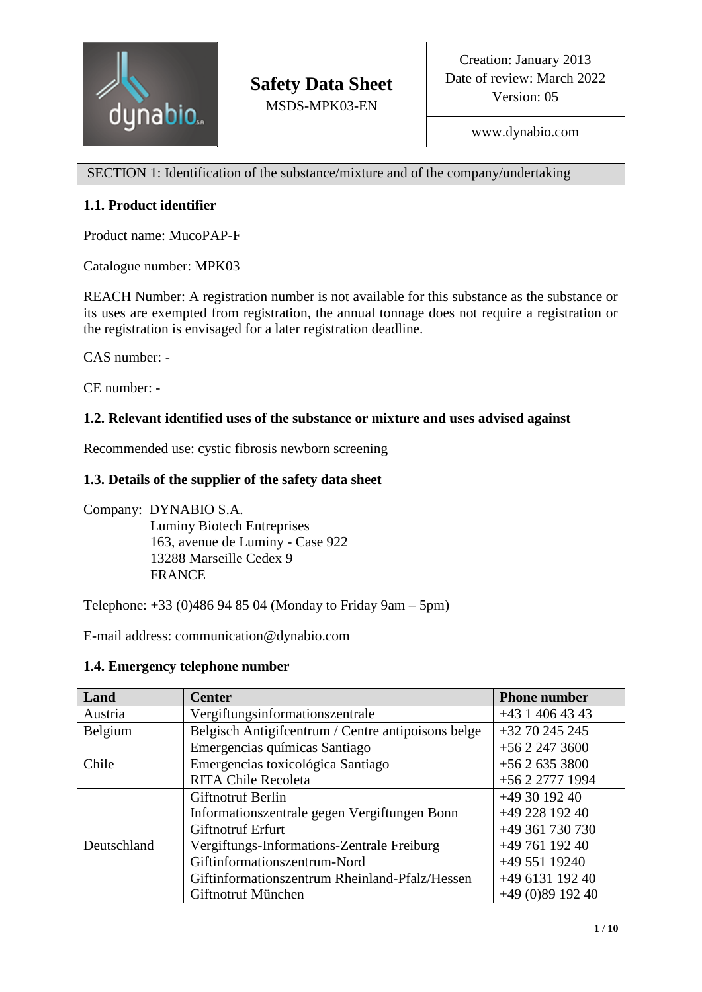

SECTION 1: Identification of the substance/mixture and of the company/undertaking

# **1.1. Product identifier**

Product name: MucoPAP-F

Catalogue number: MPK03

REACH Number: A registration number is not available for this substance as the substance or its uses are exempted from registration, the annual tonnage does not require a registration or the registration is envisaged for a later registration deadline.

CAS number: -

CE number: -

# **1.2. Relevant identified uses of the substance or mixture and uses advised against**

Recommended use: cystic fibrosis newborn screening

# **1.3. Details of the supplier of the safety data sheet**

Company: DYNABIO S.A. Luminy Biotech Entreprises 163, avenue de Luminy - Case 922 13288 Marseille Cedex 9 FRANCE

Telephone: +33 (0)486 94 85 04 (Monday to Friday 9am – 5pm)

E-mail address: communication@dynabio.com

## **1.4. Emergency telephone number**

| Land        | <b>Center</b>                                      | <b>Phone number</b> |
|-------------|----------------------------------------------------|---------------------|
| Austria     | Vergiftungsinformationszentrale                    | $+43$ 1 406 43 43   |
| Belgium     | Belgisch Antigifcentrum / Centre antipoisons belge | $+32\,70\,245\,245$ |
| Chile       | Emergencias químicas Santiago                      | $+5622473600$       |
|             | Emergencias toxicológica Santiago                  | $+5626353800$       |
|             | <b>RITA Chile Recoleta</b>                         | +56 2 2777 1994     |
| Deutschland | <b>Giftnotruf Berlin</b>                           | $+493019240$        |
|             | Informationszentrale gegen Vergiftungen Bonn       | +49 228 192 40      |
|             | <b>Giftnotruf Erfurt</b>                           | +49 361 730 730     |
|             | Vergiftungs-Informations-Zentrale Freiburg         | $+4976119240$       |
|             | Giftinformationszentrum-Nord                       | +49 551 19240       |
|             | Giftinformationszentrum Rheinland-Pfalz/Hessen     | +49 6131 192 40     |
|             | Giftnotruf München                                 | $+49(0)8919240$     |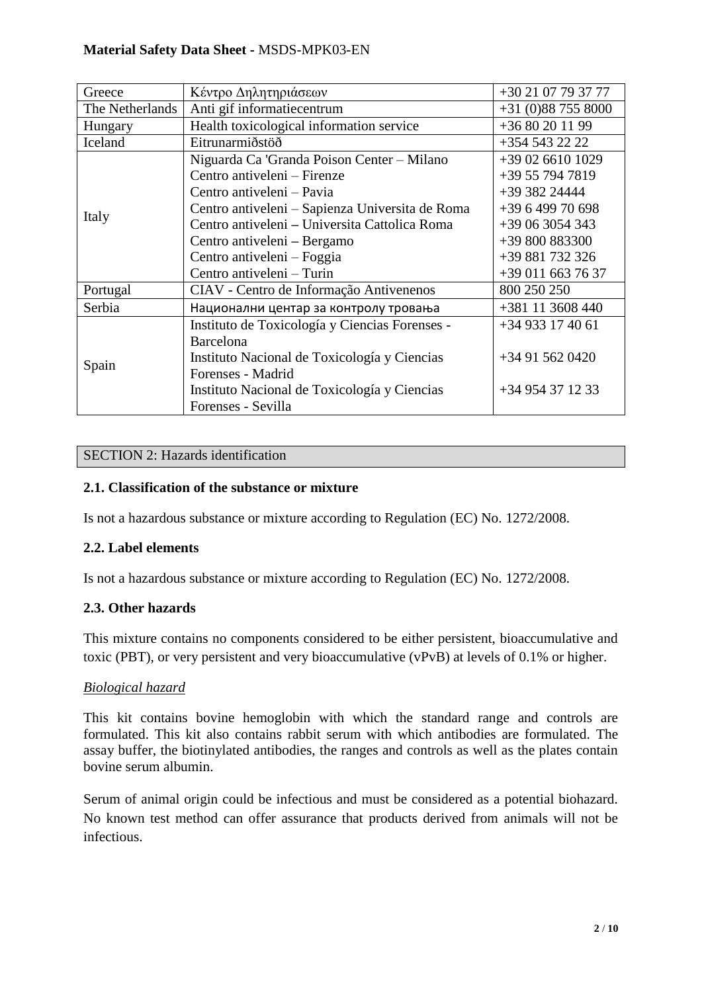## **Material Safety Data Sheet -** MSDS-MPK03-EN

| Greece          | Κέντρο Δηλητηριάσεων                            | +30 21 07 79 37 77 |
|-----------------|-------------------------------------------------|--------------------|
| The Netherlands | Anti gif informatiecentrum                      | $+31(0)887558000$  |
| Hungary         | Health toxicological information service        | +36 80 20 11 99    |
| Iceland         | Eitrunarmiðstöð                                 | +354 543 22 22     |
|                 | Niguarda Ca 'Granda Poison Center - Milano      | +39 02 6610 1029   |
|                 | Centro antiveleni – Firenze                     | +39 55 794 7819    |
|                 | Centro antiveleni – Pavia                       | +39 382 24444      |
|                 | Centro antiveleni – Sapienza Universita de Roma | +39 6 499 70 698   |
| Italy           | Centro antiveleni – Universita Cattolica Roma   | +39 06 3054 343    |
|                 | Centro antiveleni – Bergamo                     | +39 800 883300     |
|                 | Centro antiveleni – Foggia                      | +39 881 732 326    |
|                 | Centro antiveleni - Turin                       | +39 011 663 76 37  |
| Portugal        | CIAV - Centro de Informação Antivenenos         | 800 250 250        |
| Serbia          | Национални центар за контролу тровања           | +381 11 3608 440   |
| Spain           | Instituto de Toxicología y Ciencias Forenses -  | $+34933174061$     |
|                 | Barcelona                                       |                    |
|                 | Instituto Nacional de Toxicología y Ciencias    | +34 91 562 0420    |
|                 | Forenses - Madrid                               |                    |
|                 | Instituto Nacional de Toxicología y Ciencias    | +34 954 37 12 33   |
|                 | Forenses - Sevilla                              |                    |

#### SECTION 2: Hazards identification

## **2.1. Classification of the substance or mixture**

Is not a hazardous substance or mixture according to Regulation (EC) No. 1272/2008.

#### **2.2. Label elements**

Is not a hazardous substance or mixture according to Regulation (EC) No. 1272/2008.

#### **2.3. Other hazards**

This mixture contains no components considered to be either persistent, bioaccumulative and toxic (PBT), or very persistent and very bioaccumulative (vPvB) at levels of 0.1% or higher.

#### *Biological hazard*

This kit contains bovine hemoglobin with which the standard range and controls are formulated. This kit also contains rabbit serum with which antibodies are formulated. The assay buffer, the biotinylated antibodies, the ranges and controls as well as the plates contain bovine serum albumin.

Serum of animal origin could be infectious and must be considered as a potential biohazard. No known test method can offer assurance that products derived from animals will not be infectious.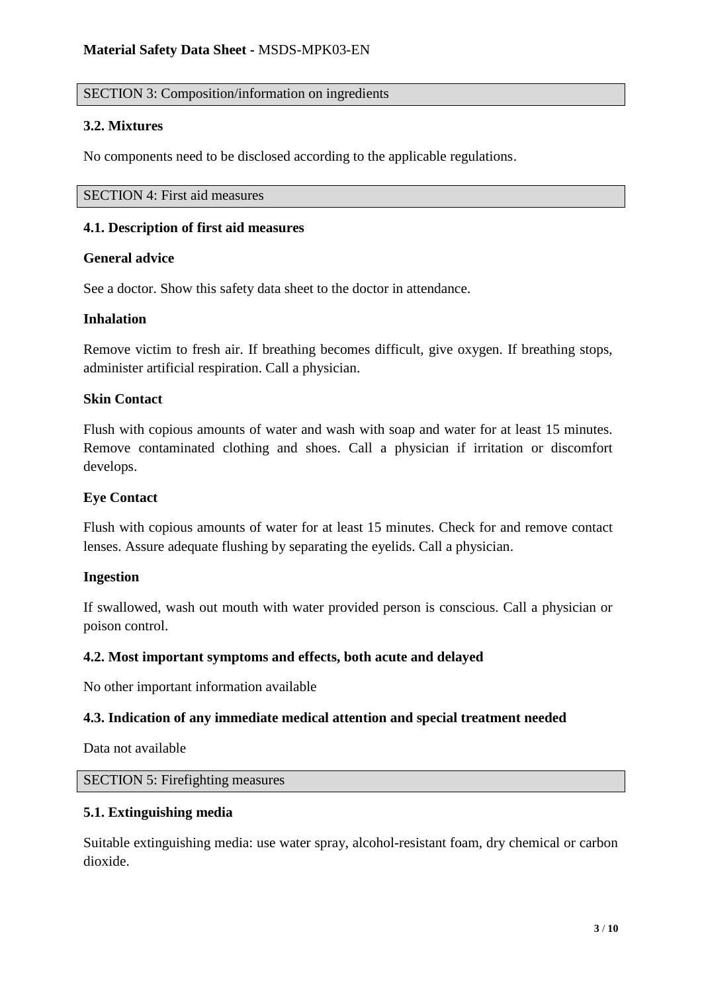## SECTION 3: Composition/information on ingredients

## **3.2. Mixtures**

No components need to be disclosed according to the applicable regulations.

SECTION 4: First aid measures

### **4.1. Description of first aid measures**

## **General advice**

See a doctor. Show this safety data sheet to the doctor in attendance.

## **Inhalation**

Remove victim to fresh air. If breathing becomes difficult, give oxygen. If breathing stops, administer artificial respiration. Call a physician.

## **Skin Contact**

Flush with copious amounts of water and wash with soap and water for at least 15 minutes. Remove contaminated clothing and shoes. Call a physician if irritation or discomfort develops.

### **Eye Contact**

Flush with copious amounts of water for at least 15 minutes. Check for and remove contact lenses. Assure adequate flushing by separating the eyelids. Call a physician.

#### **Ingestion**

If swallowed, wash out mouth with water provided person is conscious. Call a physician or poison control.

#### **4.2. Most important symptoms and effects, both acute and delayed**

No other important information available

## **4.3. Indication of any immediate medical attention and special treatment needed**

Data not available

## SECTION 5: Firefighting measures

#### **5.1. Extinguishing media**

Suitable extinguishing media: use water spray, alcohol-resistant foam, dry chemical or carbon dioxide.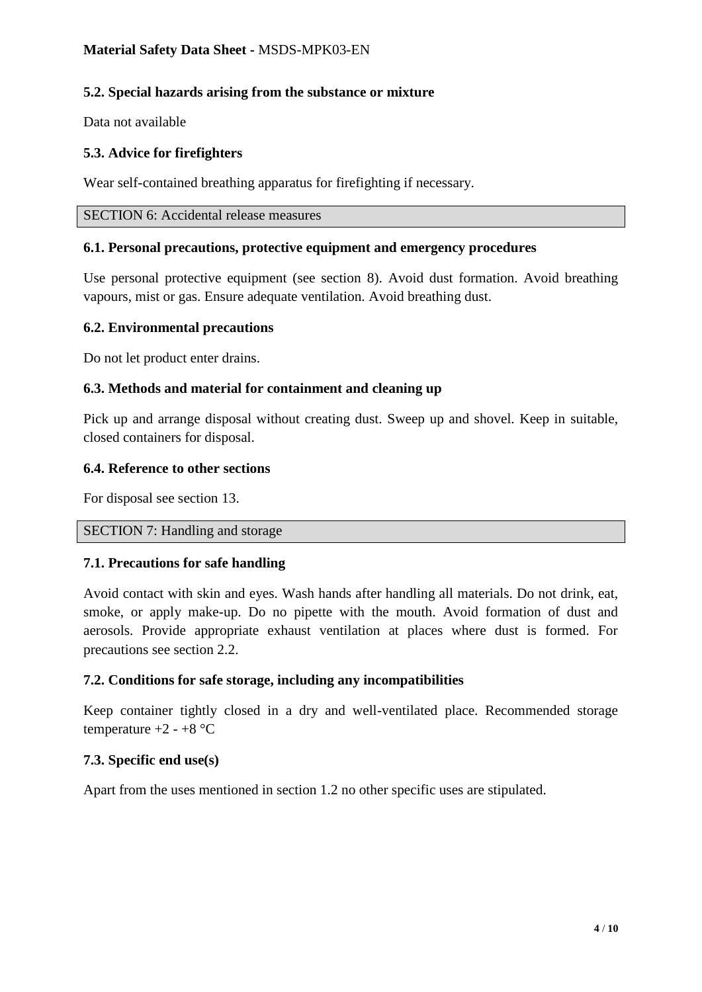## **5.2. Special hazards arising from the substance or mixture**

Data not available

# **5.3. Advice for firefighters**

Wear self-contained breathing apparatus for firefighting if necessary.

SECTION 6: Accidental release measures

## **6.1. Personal precautions, protective equipment and emergency procedures**

Use personal protective equipment (see section 8). Avoid dust formation. Avoid breathing vapours, mist or gas. Ensure adequate ventilation. Avoid breathing dust.

## **6.2. Environmental precautions**

Do not let product enter drains.

## **6.3. Methods and material for containment and cleaning up**

Pick up and arrange disposal without creating dust. Sweep up and shovel. Keep in suitable, closed containers for disposal.

## **6.4. Reference to other sections**

For disposal see section 13.

#### SECTION 7: Handling and storage

## **7.1. Precautions for safe handling**

Avoid contact with skin and eyes. Wash hands after handling all materials. Do not drink, eat, smoke, or apply make-up. Do no pipette with the mouth. Avoid formation of dust and aerosols. Provide appropriate exhaust ventilation at places where dust is formed. For precautions see section 2.2.

## **7.2. Conditions for safe storage, including any incompatibilities**

Keep container tightly closed in a dry and well-ventilated place. Recommended storage temperature  $+2 - +8$  °C

#### **7.3. Specific end use(s)**

Apart from the uses mentioned in section 1.2 no other specific uses are stipulated.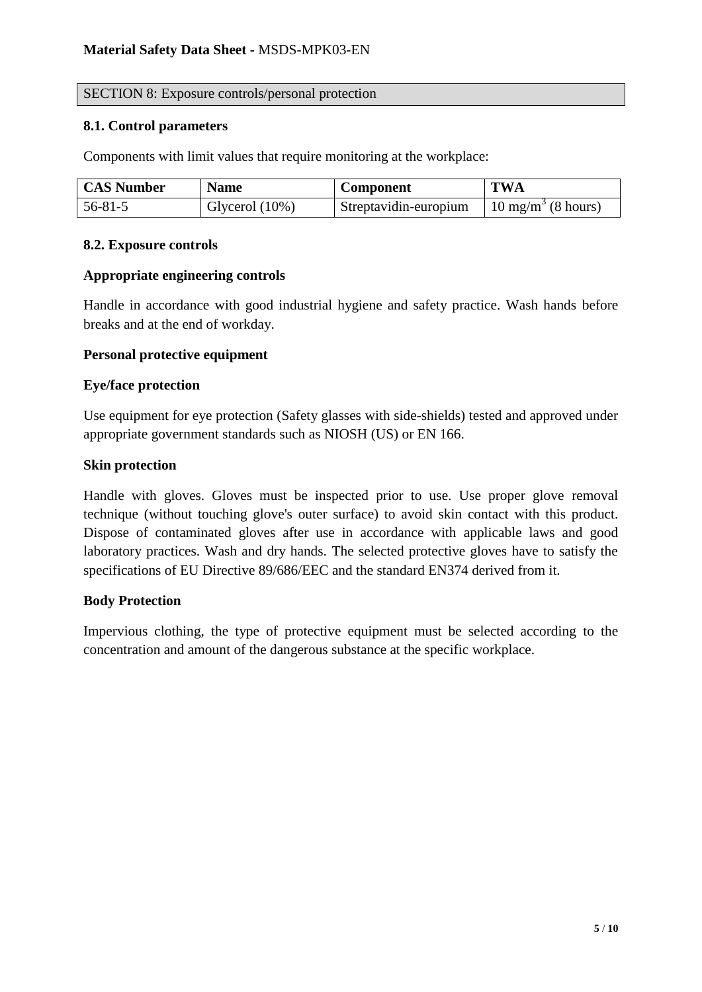#### SECTION 8: Exposure controls/personal protection

#### **8.1. Control parameters**

Components with limit values that require monitoring at the workplace:

| <b>CAS Number</b> | <b>Name</b>       | <b>Component</b>      | <b>TWA</b>                    |
|-------------------|-------------------|-----------------------|-------------------------------|
| 56-81-5           | Glycerol $(10\%)$ | Streptavidin-europium | $10 \text{ mg/m}^3$ (8 hours) |

#### **8.2. Exposure controls**

#### **Appropriate engineering controls**

Handle in accordance with good industrial hygiene and safety practice. Wash hands before breaks and at the end of workday.

#### **Personal protective equipment**

#### **Eye/face protection**

Use equipment for eye protection (Safety glasses with side-shields) tested and approved under appropriate government standards such as NIOSH (US) or EN 166.

#### **Skin protection**

Handle with gloves. Gloves must be inspected prior to use. Use proper glove removal technique (without touching glove's outer surface) to avoid skin contact with this product. Dispose of contaminated gloves after use in accordance with applicable laws and good laboratory practices. Wash and dry hands. The selected protective gloves have to satisfy the specifications of EU Directive 89/686/EEC and the standard EN374 derived from it.

#### **Body Protection**

Impervious clothing, the type of protective equipment must be selected according to the concentration and amount of the dangerous substance at the specific workplace.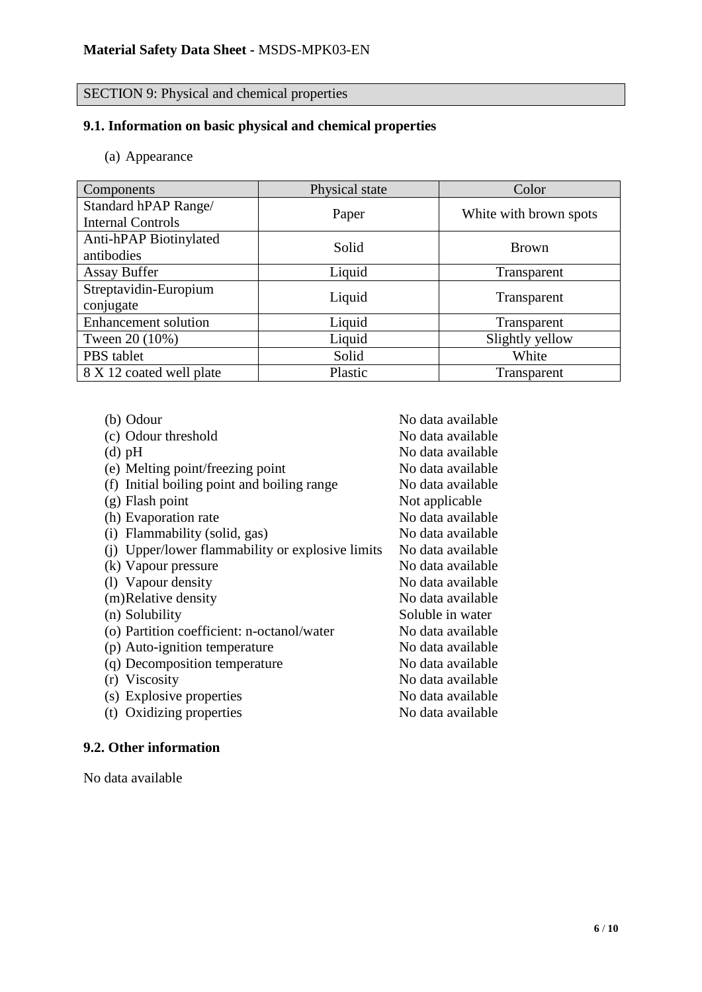#### SECTION 9: Physical and chemical properties

### **9.1. Information on basic physical and chemical properties**

(a) Appearance

| <b>Components</b>           | Physical state | Color                  |  |
|-----------------------------|----------------|------------------------|--|
| Standard hPAP Range/        |                | White with brown spots |  |
| <b>Internal Controls</b>    | Paper          |                        |  |
| Anti-hPAP Biotinylated      | Solid          | <b>Brown</b>           |  |
| antibodies                  |                |                        |  |
| <b>Assay Buffer</b>         | Liquid         | Transparent            |  |
| Streptavidin-Europium       | Liquid         |                        |  |
| conjugate                   |                | Transparent            |  |
| <b>Enhancement solution</b> | Liquid         | Transparent            |  |
| Tween 20 (10%)              | Liquid         | Slightly yellow        |  |
| PBS tablet                  | Solid          | White                  |  |
| 8 X 12 coated well plate    | Plastic        | Transparent            |  |

No data available

(b) Odour No data available

| (c) Odour threshold |  |
|---------------------|--|
|---------------------|--|

- (d) pH No data available
- (e) Melting point/freezing point No data available
- $(f)$  Initial boiling point and boiling range No data available
- $(g)$  Flash point Not applicable
- (h) Evaporation rate No data available
- (i) Flammability (solid, gas) No data available
- (i) Upper/lower flammability or explosive limits No data available
- (k) Vapour pressure No data available
- (1) Vapour density No data available
- (m)Relative density No data available
- (n) Solubility Soluble in water
- (o) Partition coefficient: n-octanol/water No data available
- (p) Auto-ignition temperature No data available
- (q) Decomposition temperature No data available
- (r) Viscosity No data available
- (s) Explosive properties No data available
- (t) Oxidizing properties No data available

## **9.2. Other information**

No data available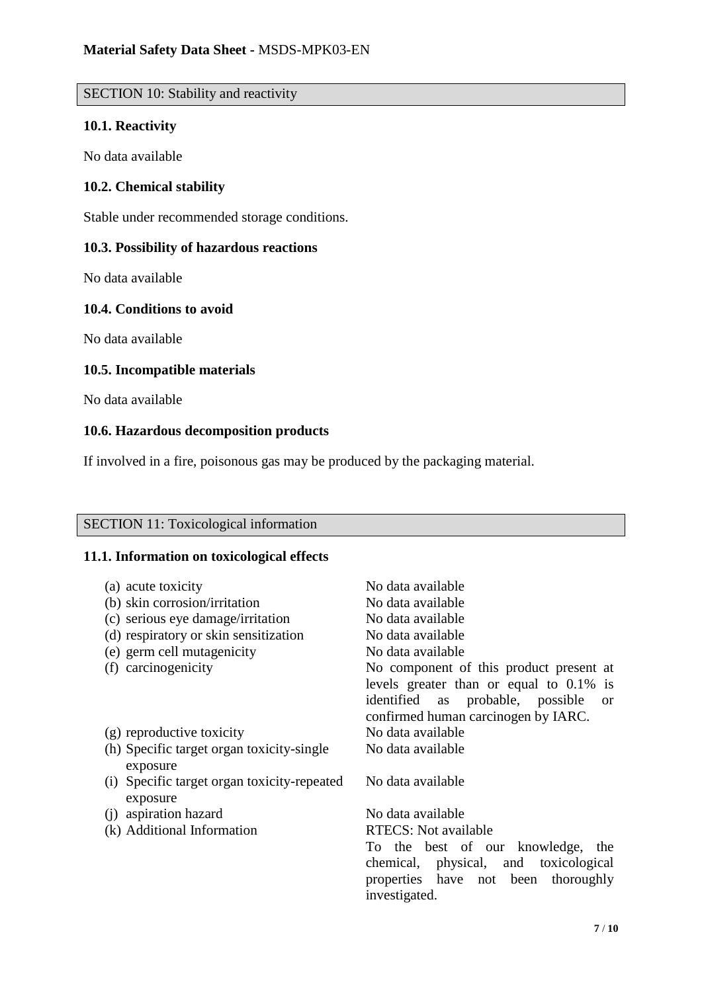# SECTION 10: Stability and reactivity

## **10.1. Reactivity**

No data available

## **10.2. Chemical stability**

Stable under recommended storage conditions.

## **10.3. Possibility of hazardous reactions**

No data available

## **10.4. Conditions to avoid**

No data available

## **10.5. Incompatible materials**

No data available

## **10.6. Hazardous decomposition products**

If involved in a fire, poisonous gas may be produced by the packaging material.

## SECTION 11: Toxicological information

### **11.1. Information on toxicological effects**

| (a) acute toxicity                                      | No data available                                 |
|---------------------------------------------------------|---------------------------------------------------|
| (b) skin corrosion/irritation                           | No data available                                 |
| (c) serious eye damage/irritation                       | No data available                                 |
| (d) respiratory or skin sensitization                   | No data available                                 |
| (e) germ cell mutagenicity                              | No data available                                 |
| (f) carcinogenicity                                     | No component of this product present at           |
|                                                         | levels greater than or equal to 0.1% is           |
|                                                         | identified as probable, possible<br><sub>or</sub> |
|                                                         | confirmed human carcinogen by IARC.               |
| (g) reproductive toxicity                               | No data available                                 |
| (h) Specific target organ toxicity-single<br>exposure   | No data available                                 |
| (i) Specific target organ toxicity-repeated<br>exposure | No data available                                 |
| aspiration hazard<br>(1)                                | No data available                                 |
| (k) Additional Information                              | <b>RTECS:</b> Not available                       |
|                                                         | To the best of our knowledge, the                 |
|                                                         | chemical, physical, and toxicological             |
|                                                         | properties have not been thoroughly               |
|                                                         | investigated.                                     |
|                                                         |                                                   |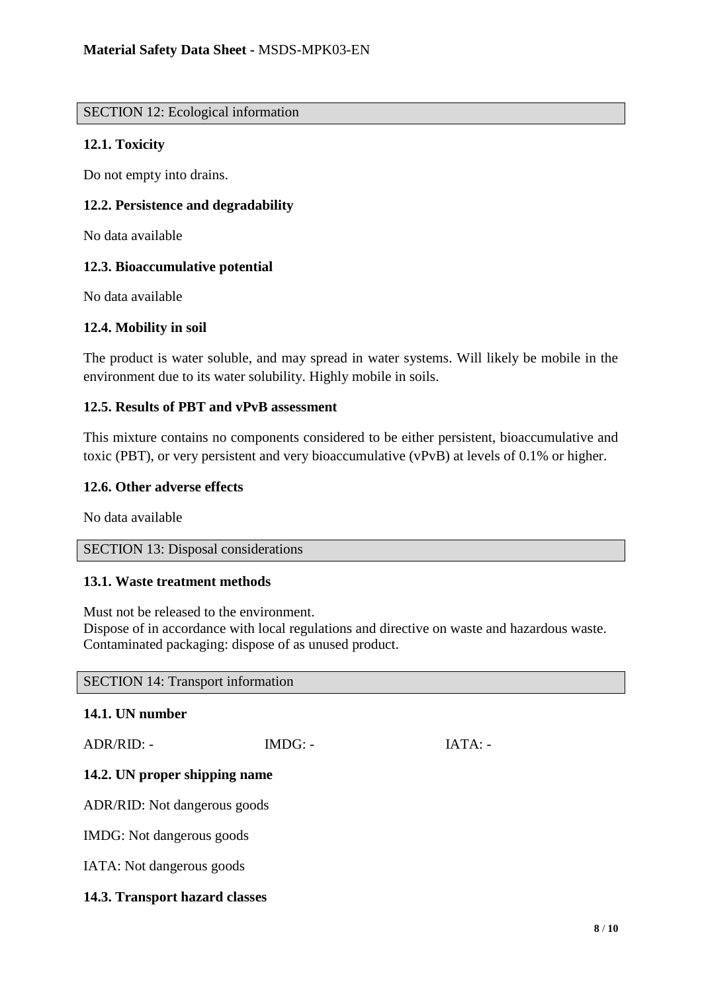#### SECTION 12: Ecological information

## **12.1. Toxicity**

Do not empty into drains.

## **12.2. Persistence and degradability**

No data available

## **12.3. Bioaccumulative potential**

No data available

#### **12.4. Mobility in soil**

The product is water soluble, and may spread in water systems. Will likely be mobile in the environment due to its water solubility. Highly mobile in soils.

### **12.5. Results of PBT and vPvB assessment**

This mixture contains no components considered to be either persistent, bioaccumulative and toxic (PBT), or very persistent and very bioaccumulative (vPvB) at levels of 0.1% or higher.

#### **12.6. Other adverse effects**

No data available

### SECTION 13: Disposal considerations

#### **13.1. Waste treatment methods**

Must not be released to the environment.

Dispose of in accordance with local regulations and directive on waste and hazardous waste. Contaminated packaging: dispose of as unused product.

SECTION 14: Transport information

#### **14.1. UN number**

ADR/RID: - IMDG: - IMDG: - IATA: -

#### **14.2. UN proper shipping name**

ADR/RID: Not dangerous goods

IMDG: Not dangerous goods

IATA: Not dangerous goods

#### **14.3. Transport hazard classes**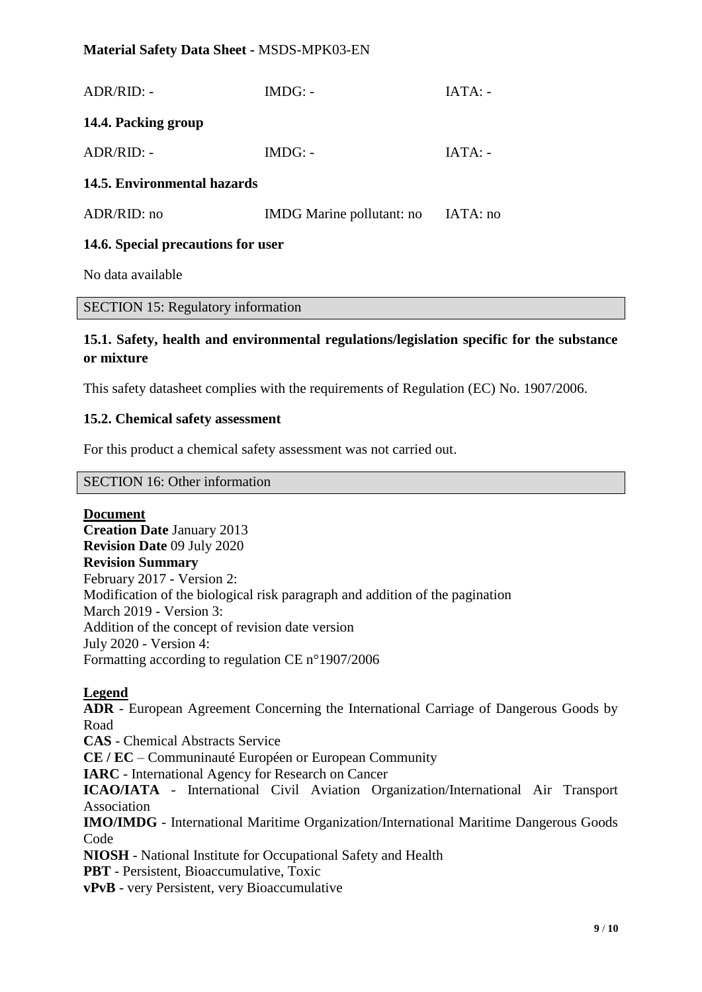## **Material Safety Data Sheet -** MSDS-MPK03-EN

| 14.6. Special precautions for user |                           |           |
|------------------------------------|---------------------------|-----------|
| ADR/RID: no                        | IMDG Marine pollutant: no | IATA: no  |
| 14.5. Environmental hazards        |                           |           |
| $ADR/RID: -$                       | $IMDG: -$                 | $IATA: -$ |
| 14.4. Packing group                |                           |           |
| $ADR/RID: -$                       | $IMDG: -$                 | $IATA: -$ |

No data available

SECTION 15: Regulatory information

## **15.1. Safety, health and environmental regulations/legislation specific for the substance or mixture**

This safety datasheet complies with the requirements of Regulation (EC) No. 1907/2006.

#### **15.2. Chemical safety assessment**

For this product a chemical safety assessment was not carried out.

#### SECTION 16: Other information

**Document**

**Creation Date** January 2013 **Revision Date** 09 July 2020 **Revision Summary** February 2017 - Version 2: Modification of the biological risk paragraph and addition of the pagination March 2019 - Version 3: Addition of the concept of revision date version July 2020 - Version 4: Formatting according to regulation CE n°1907/2006

#### **Legend**

**ADR** - European Agreement Concerning the International Carriage of Dangerous Goods by Road

**CAS** - Chemical Abstracts Service

**CE / EC** – Communinauté Européen or European Community

**IARC** - International Agency for Research on Cancer

**ICAO/IATA** - International Civil Aviation Organization/International Air Transport Association

**IMO/IMDG** - International Maritime Organization/International Maritime Dangerous Goods Code

**NIOSH** - National Institute for Occupational Safety and Health

**PBT** - Persistent, Bioaccumulative, Toxic

**vPvB** - very Persistent, very Bioaccumulative